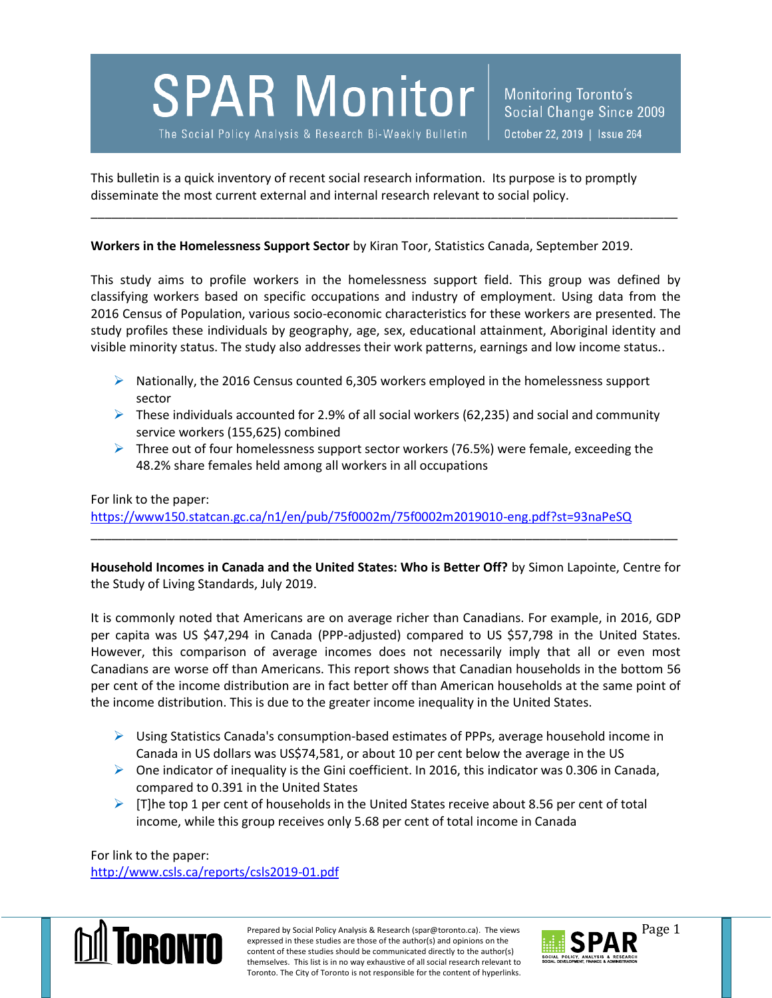**SPAR Monitor** 

The Social Policy Analysis & Research Bi-Weekly Bulletin

This bulletin is a quick inventory of recent social research information. Its purpose is to promptly disseminate the most current external and internal research relevant to social policy.

**Workers in the Homelessness Support Sector** by Kiran Toor, Statistics Canada, September 2019.

This study aims to profile workers in the homelessness support field. This group was defined by classifying workers based on specific occupations and industry of employment. Using data from the 2016 Census of Population, various socio-economic characteristics for these workers are presented. The study profiles these individuals by geography, age, sex, educational attainment, Aboriginal identity and visible minority status. The study also addresses their work patterns, earnings and low income status..

\_\_\_\_\_\_\_\_\_\_\_\_\_\_\_\_\_\_\_\_\_\_\_\_\_\_\_\_\_\_\_\_\_\_\_\_\_\_\_\_\_\_\_\_\_\_\_\_\_\_\_\_\_\_\_\_\_\_\_\_\_\_\_\_\_\_\_\_\_\_\_\_\_\_\_\_\_\_\_\_\_\_\_\_\_

- $\triangleright$  Nationally, the 2016 Census counted 6,305 workers employed in the homelessness support sector
- $\triangleright$  These individuals accounted for 2.9% of all social workers (62,235) and social and community service workers (155,625) combined
- $\triangleright$  Three out of four homelessness support sector workers (76.5%) were female, exceeding the 48.2% share females held among all workers in all occupations

## For link to the paper: <https://www150.statcan.gc.ca/n1/en/pub/75f0002m/75f0002m2019010-eng.pdf?st=93naPeSQ>

**Household Incomes in Canada and the United States: Who is Better Off?** by Simon Lapointe, Centre for the Study of Living Standards, July 2019.

\_\_\_\_\_\_\_\_\_\_\_\_\_\_\_\_\_\_\_\_\_\_\_\_\_\_\_\_\_\_\_\_\_\_\_\_\_\_\_\_\_\_\_\_\_\_\_\_\_\_\_\_\_\_\_\_\_\_\_\_\_\_\_\_\_\_\_\_\_\_\_\_\_\_\_\_\_\_\_\_\_\_\_\_\_

It is commonly noted that Americans are on average richer than Canadians. For example, in 2016, GDP per capita was US \$47,294 in Canada (PPP-adjusted) compared to US \$57,798 in the United States. However, this comparison of average incomes does not necessarily imply that all or even most Canadians are worse off than Americans. This report shows that Canadian households in the bottom 56 per cent of the income distribution are in fact better off than American households at the same point of the income distribution. This is due to the greater income inequality in the United States.

- Using Statistics Canada's consumption-based estimates of PPPs, average household income in Canada in US dollars was US\$74,581, or about 10 per cent below the average in the US
- $\triangleright$  One indicator of inequality is the Gini coefficient. In 2016, this indicator was 0.306 in Canada, compared to 0.391 in the United States
- $\triangleright$  [T]he top 1 per cent of households in the United States receive about 8.56 per cent of total income, while this group receives only 5.68 per cent of total income in Canada

For link to the paper: <http://www.csls.ca/reports/csls2019-01.pdf>



Prepared by Social Policy Analysis & Research (spar@toronto.ca). The views Page 1 expressed in these studies are those of the author(s) and opinions on the content of these studies should be communicated directly to the author(s) themselves. This list is in no way exhaustive of all social research relevant to Toronto. The City of Toronto is not responsible for the content of hyperlinks.

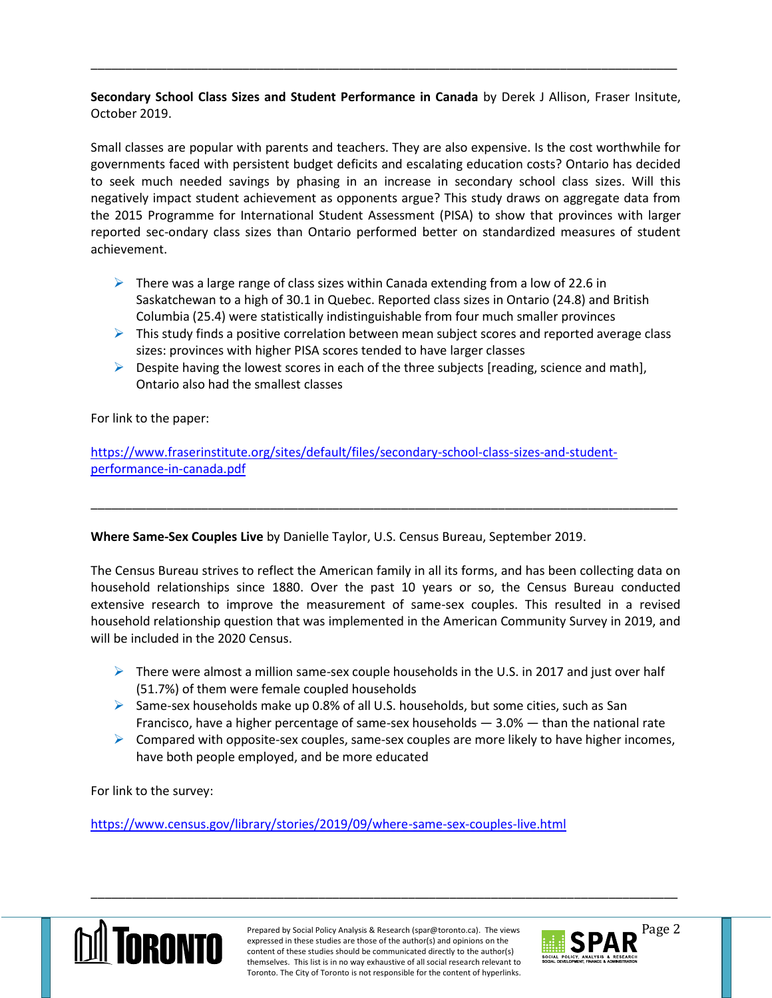## **Secondary School Class Sizes and Student Performance in Canada** by Derek J Allison, Fraser Insitute, October 2019.

\_\_\_\_\_\_\_\_\_\_\_\_\_\_\_\_\_\_\_\_\_\_\_\_\_\_\_\_\_\_\_\_\_\_\_\_\_\_\_\_\_\_\_\_\_\_\_\_\_\_\_\_\_\_\_\_\_\_\_\_\_\_\_\_\_\_\_\_\_\_\_\_\_\_\_\_\_\_\_\_\_\_\_\_\_

Small classes are popular with parents and teachers. They are also expensive. Is the cost worthwhile for governments faced with persistent budget deficits and escalating education costs? Ontario has decided to seek much needed savings by phasing in an increase in secondary school class sizes. Will this negatively impact student achievement as opponents argue? This study draws on aggregate data from the 2015 Programme for International Student Assessment (PISA) to show that provinces with larger reported sec-ondary class sizes than Ontario performed better on standardized measures of student achievement.

- $\triangleright$  There was a large range of class sizes within Canada extending from a low of 22.6 in Saskatchewan to a high of 30.1 in Quebec. Reported class sizes in Ontario (24.8) and British Columbia (25.4) were statistically indistinguishable from four much smaller provinces
- $\triangleright$  This study finds a positive correlation between mean subject scores and reported average class sizes: provinces with higher PISA scores tended to have larger classes
- $\triangleright$  Despite having the lowest scores in each of the three subjects [reading, science and math], Ontario also had the smallest classes

For link to the paper:

[https://www.fraserinstitute.org/sites/default/files/secondary-school-class-sizes-and-student](https://www.fraserinstitute.org/sites/default/files/secondary-school-class-sizes-and-student-performance-in-canada.pdf)[performance-in-canada.pdf](https://www.fraserinstitute.org/sites/default/files/secondary-school-class-sizes-and-student-performance-in-canada.pdf)

## **Where Same-Sex Couples Live** by Danielle Taylor, U.S. Census Bureau, September 2019.

The Census Bureau strives to reflect the American family in all its forms, and has been collecting data on household relationships since 1880. Over the past 10 years or so, the Census Bureau conducted extensive research to improve the measurement of same-sex couples. This resulted in a revised household relationship question that was implemented in the American Community Survey in 2019, and will be included in the 2020 Census.

\_\_\_\_\_\_\_\_\_\_\_\_\_\_\_\_\_\_\_\_\_\_\_\_\_\_\_\_\_\_\_\_\_\_\_\_\_\_\_\_\_\_\_\_\_\_\_\_\_\_\_\_\_\_\_\_\_\_\_\_\_\_\_\_\_\_\_\_\_\_\_\_\_\_\_\_\_\_\_\_\_\_\_\_\_

- $\triangleright$  There were almost a million same-sex couple households in the U.S. in 2017 and just over half (51.7%) of them were female coupled households
- Same-sex households make up 0.8% of all U.S. households, but some cities, such as San Francisco, have a higher percentage of same-sex households  $-3.0%$   $-$  than the national rate
- $\triangleright$  Compared with opposite-sex couples, same-sex couples are more likely to have higher incomes, have both people employed, and be more educated

For link to the survey:

<https://www.census.gov/library/stories/2019/09/where-same-sex-couples-live.html>



Prepared by Social Policy Analysis & Research (spar@toronto.ca). The views Page 2 expressed in these studies are those of the author(s) and opinions on the content of these studies should be communicated directly to the author(s) themselves. This list is in no way exhaustive of all social research relevant to Toronto. The City of Toronto is not responsible for the content of hyperlinks.

\_\_\_\_\_\_\_\_\_\_\_\_\_\_\_\_\_\_\_\_\_\_\_\_\_\_\_\_\_\_\_\_\_\_\_\_\_\_\_\_\_\_\_\_\_\_\_\_\_\_\_\_\_\_\_\_\_\_\_\_\_\_\_\_\_\_\_\_\_\_\_\_\_\_\_\_\_\_\_\_\_\_\_\_\_